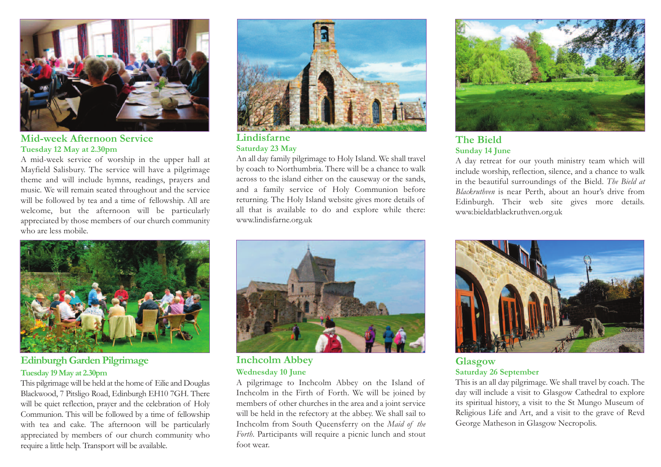

**Mid-week Afternoon Service Tuesday 12 May at 2.30pm**

A mid-week service of worship in the upper hall at Mayfield Salisbury. The service will have a pilgrimage theme and will include hymns, readings, prayers and music. We will remain seated throughout and the service will be followed by tea and a time of fellowship. All are welcome, but the afternoon will be particularly appreciated by those members of our church community who are less mobile.



**Edinburgh Garden Pilgrimage Tuesday 19May at 2.30pm**

This pilgrimagewill be held at the home of Eilie and Douglas Blackwood, 7 Pitsligo Road, Edinburgh EH10 7GH. There will be quiet reflection, prayer and the celebration of Holy Communion. This will be followed by a time of fellowship with tea and cake. The afternoon will be particularly appreciated by members of our church community who require a little help. Transport will be available.



**Lindisfarne Saturday 23 May**

An all day family pilgrimage to Holy Island. We shall travel by coach to Northumbria. There will be a chance to walk across to the island either on the causeway or the sands, and a family service of Holy Communion before returning. The Holy Island website gives more details of all that is available to do and explore while there: www.lindisfarne.org.uk



**Inchcolm Abbey Wednesday 10 June**

A pilgrimage to Inchcolm Abbey on the Island of Inchcolm in the Firth of Forth. We will be joined by members of other churches in the area and a joint service will be held in the refectory at the abbey. We shall sail to Inchcolm from South Queensferry on the *Maid of the Forth*. Participants will require a picnic lunch and stout foot wear.



### **The Bield Sunday 14 June**

A day retreat for our youth ministry team which will include worship, reflection, silence, and a chance to walk in the beautiful surroundings of the Bield. *The Bield at Blackruthven* is near Perth, about an hour's drive from Edinburgh. Their web site gives more details. www.bieldatblackruthven.org.uk



**Glasgow Saturday 26 September**

This is an all day pilgrimage. We shall travel by coach. The day will include a visit to Glasgow Cathedral to explore its spiritual history, a visit to the St Mungo Museum of Religious Life and Art, and a visit to the grave of Revd George Matheson in Glasgow Necropolis.